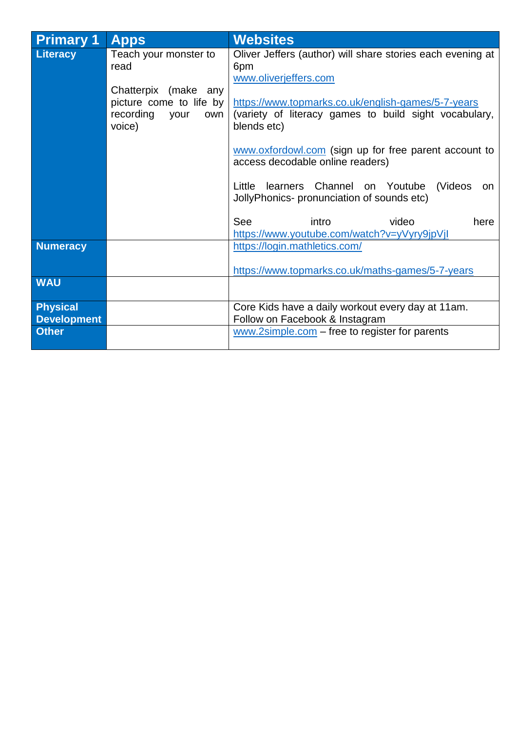| <b>Primary 1</b>   | <b>Apps</b>                                                                           | <b>Websites</b>                                                                                                            |
|--------------------|---------------------------------------------------------------------------------------|----------------------------------------------------------------------------------------------------------------------------|
| Literacy           | Teach your monster to<br>read                                                         | Oliver Jeffers (author) will share stories each evening at<br>6pm<br>www.oliverjeffers.com                                 |
|                    | Chatterpix (make any<br>picture come to life by<br>recording<br>your<br>own<br>voice) | https://www.topmarks.co.uk/english-games/5-7-years<br>(variety of literacy games to build sight vocabulary,<br>blends etc) |
|                    |                                                                                       | www.oxfordowl.com (sign up for free parent account to<br>access decodable online readers)                                  |
|                    |                                                                                       | learners Channel on Youtube<br>Little<br>(Videos<br>on.<br>JollyPhonics- pronunciation of sounds etc)                      |
|                    |                                                                                       | See<br>intro<br>video<br>here<br>https://www.youtube.com/watch?v=yVyry9jpVjl                                               |
| <b>Numeracy</b>    |                                                                                       | https://login.mathletics.com/                                                                                              |
| <b>WAU</b>         |                                                                                       | https://www.topmarks.co.uk/maths-games/5-7-years                                                                           |
|                    |                                                                                       |                                                                                                                            |
| <b>Physical</b>    |                                                                                       | Core Kids have a daily workout every day at 11am.                                                                          |
| <b>Development</b> |                                                                                       | Follow on Facebook & Instagram                                                                                             |
| <b>Other</b>       |                                                                                       | $www.2simple.com - free to register for parents$                                                                           |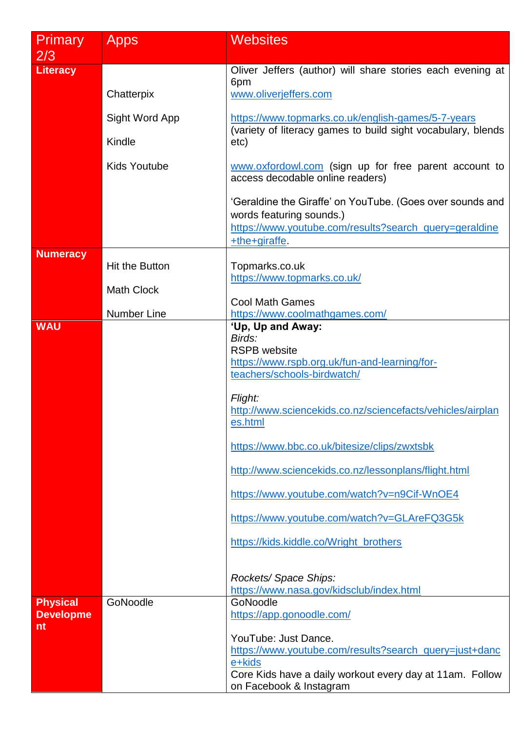| Primary                             | <b>Apps</b>           | <b>Websites</b>                                                                                                    |
|-------------------------------------|-----------------------|--------------------------------------------------------------------------------------------------------------------|
| 2/3                                 |                       |                                                                                                                    |
| <b>Literacy</b>                     |                       | Oliver Jeffers (author) will share stories each evening at<br>6pm                                                  |
|                                     | Chatterpix            | www.oliverjeffers.com                                                                                              |
|                                     | Sight Word App        | https://www.topmarks.co.uk/english-games/5-7-years<br>(variety of literacy games to build sight vocabulary, blends |
|                                     | Kindle                | etc)                                                                                                               |
|                                     | <b>Kids Youtube</b>   | www.oxfordowl.com (sign up for free parent account to<br>access decodable online readers)                          |
|                                     |                       | 'Geraldine the Giraffe' on YouTube. (Goes over sounds and<br>words featuring sounds.)                              |
|                                     |                       | https://www.youtube.com/results?search_query=geraldine<br>+the+giraffe.                                            |
| <b>Numeracy</b>                     |                       |                                                                                                                    |
|                                     | <b>Hit the Button</b> | Topmarks.co.uk<br>https://www.topmarks.co.uk/                                                                      |
|                                     | <b>Math Clock</b>     | <b>Cool Math Games</b>                                                                                             |
|                                     | <b>Number Line</b>    | https://www.coolmathgames.com/                                                                                     |
| <b>WAU</b>                          |                       | 'Up, Up and Away:<br>Birds:                                                                                        |
|                                     |                       | <b>RSPB</b> website                                                                                                |
|                                     |                       | https://www.rspb.org.uk/fun-and-learning/for-<br>teachers/schools-birdwatch/                                       |
|                                     |                       | Flight:<br>http://www.sciencekids.co.nz/sciencefacts/vehicles/airplan<br>es.html                                   |
|                                     |                       | https://www.bbc.co.uk/bitesize/clips/zwxtsbk                                                                       |
|                                     |                       | http://www.sciencekids.co.nz/lessonplans/flight.html                                                               |
|                                     |                       | https://www.youtube.com/watch?v=n9Cif-WnOE4                                                                        |
|                                     |                       | https://www.youtube.com/watch?v=GLAreFQ3G5k                                                                        |
|                                     |                       | https://kids.kiddle.co/Wright_brothers                                                                             |
|                                     |                       | Rockets/Space Ships:<br>https://www.nasa.gov/kidsclub/index.html                                                   |
| <b>Physical</b><br><b>Developme</b> | GoNoodle              | GoNoodle<br>https://app.gonoodle.com/                                                                              |
| nt                                  |                       |                                                                                                                    |
|                                     |                       | YouTube: Just Dance.<br>https://www.youtube.com/results?search_query=just+danc                                     |
|                                     |                       | e+kids                                                                                                             |
|                                     |                       | Core Kids have a daily workout every day at 11am. Follow<br>on Facebook & Instagram                                |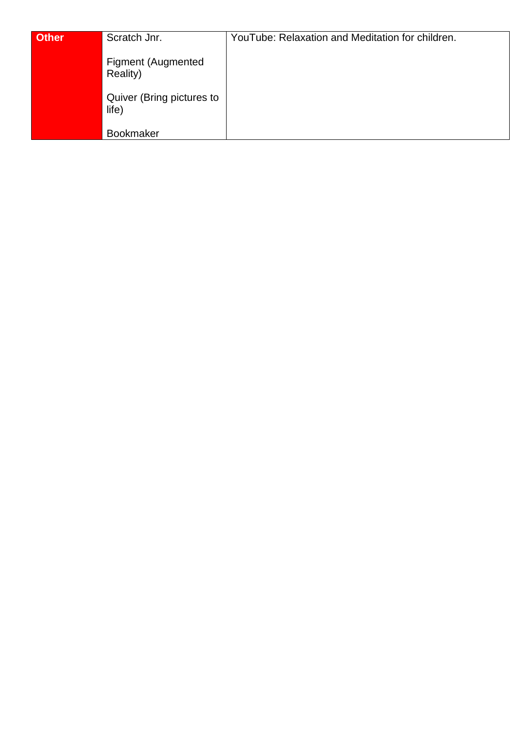| <b>Other</b> | Scratch Jnr.                          | YouTube: Relaxation and Meditation for children. |
|--------------|---------------------------------------|--------------------------------------------------|
|              | <b>Figment (Augmented</b><br>Reality) |                                                  |
|              | Quiver (Bring pictures to<br>life)    |                                                  |
|              | <b>Bookmaker</b>                      |                                                  |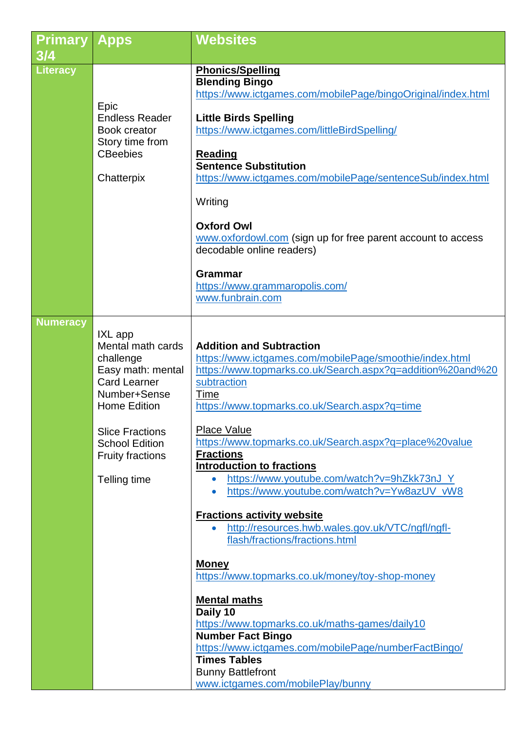| <b>Primary</b><br>3/4 | <b>Apps</b>                                                                                                                                                                                                                | <b>Websites</b>                                                                                                                                                                                                                                                                                                                                                                                                                                                                                                                                                                                                                                                                                                                                                                                                                                                                                                                                                 |
|-----------------------|----------------------------------------------------------------------------------------------------------------------------------------------------------------------------------------------------------------------------|-----------------------------------------------------------------------------------------------------------------------------------------------------------------------------------------------------------------------------------------------------------------------------------------------------------------------------------------------------------------------------------------------------------------------------------------------------------------------------------------------------------------------------------------------------------------------------------------------------------------------------------------------------------------------------------------------------------------------------------------------------------------------------------------------------------------------------------------------------------------------------------------------------------------------------------------------------------------|
| <b>Literacy</b>       | Epic<br><b>Endless Reader</b><br>Book creator<br>Story time from<br><b>CBeebies</b><br>Chatterpix                                                                                                                          | <b>Phonics/Spelling</b><br><b>Blending Bingo</b><br>https://www.ictgames.com/mobilePage/bingoOriginal/index.html<br><b>Little Birds Spelling</b><br>https://www.ictgames.com/littleBirdSpelling/<br><b>Reading</b><br><b>Sentence Substitution</b><br>https://www.ictgames.com/mobilePage/sentenceSub/index.html<br>Writing<br><b>Oxford Owl</b><br>www.oxfordowl.com (sign up for free parent account to access<br>decodable online readers)<br><b>Grammar</b><br>https://www.grammaropolis.com/<br>www.funbrain.com                                                                                                                                                                                                                                                                                                                                                                                                                                           |
| <b>Numeracy</b>       | IXL app<br>Mental math cards<br>challenge<br>Easy math: mental<br><b>Card Learner</b><br>Number+Sense<br><b>Home Edition</b><br><b>Slice Fractions</b><br><b>School Edition</b><br><b>Fruity fractions</b><br>Telling time | <b>Addition and Subtraction</b><br>https://www.ictgames.com/mobilePage/smoothie/index.html<br>https://www.topmarks.co.uk/Search.aspx?q=addition%20and%20<br>subtraction<br>Time<br>https://www.topmarks.co.uk/Search.aspx?q=time<br><b>Place Value</b><br>https://www.topmarks.co.uk/Search.aspx?q=place%20value<br><b>Fractions</b><br><b>Introduction to fractions</b><br>https://www.youtube.com/watch?v=9hZkk73nJ_Y<br>https://www.youtube.com/watch?v=Yw8azUV_vW8<br>$\bullet$<br><b>Fractions activity website</b><br>http://resources.hwb.wales.gov.uk/VTC/ngfl/ngfl-<br>$\bullet$<br>flash/fractions/fractions.html<br><b>Money</b><br>https://www.topmarks.co.uk/money/toy-shop-money<br><b>Mental maths</b><br>Daily 10<br>https://www.topmarks.co.uk/maths-games/daily10<br><b>Number Fact Bingo</b><br>https://www.ictgames.com/mobilePage/numberFactBingo/<br><b>Times Tables</b><br><b>Bunny Battlefront</b><br>www.ictgames.com/mobilePlay/bunny |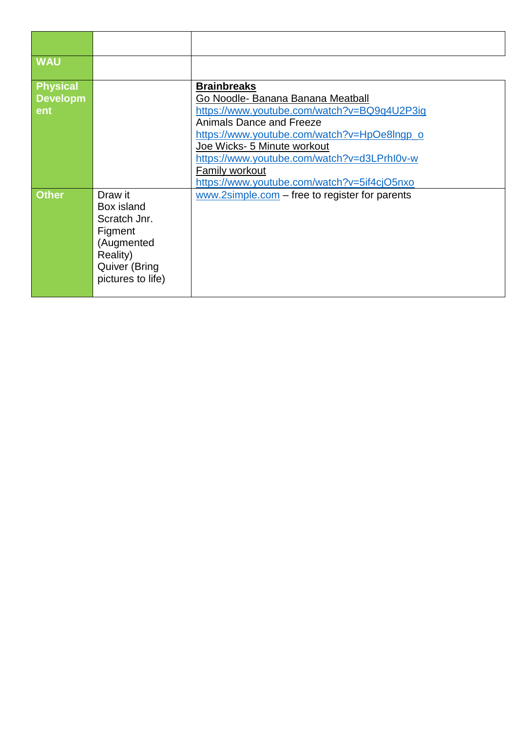| <b>WAU</b>                                |                                                                                                                         |                                                                                                                                                                                                                                                                                                                                  |
|-------------------------------------------|-------------------------------------------------------------------------------------------------------------------------|----------------------------------------------------------------------------------------------------------------------------------------------------------------------------------------------------------------------------------------------------------------------------------------------------------------------------------|
| <b>Physical</b><br><b>Developm</b><br>ent |                                                                                                                         | <b>Brainbreaks</b><br>Go Noodle- Banana Banana Meatball<br>https://www.youtube.com/watch?v=BQ9q4U2P3ig<br>Animals Dance and Freeze<br>https://www.youtube.com/watch?v=HpOe8Ingp_o<br>Joe Wicks- 5 Minute workout<br>https://www.youtube.com/watch?v=d3LPrhI0v-w<br>Family workout<br>https://www.youtube.com/watch?v=5if4cjO5nxo |
| <b>Other</b>                              | Draw it<br>Box island<br>Scratch Jnr.<br>Figment<br>(Augmented<br>Reality)<br><b>Quiver (Bring</b><br>pictures to life) | $www.2simple.com - free to register for parents$                                                                                                                                                                                                                                                                                 |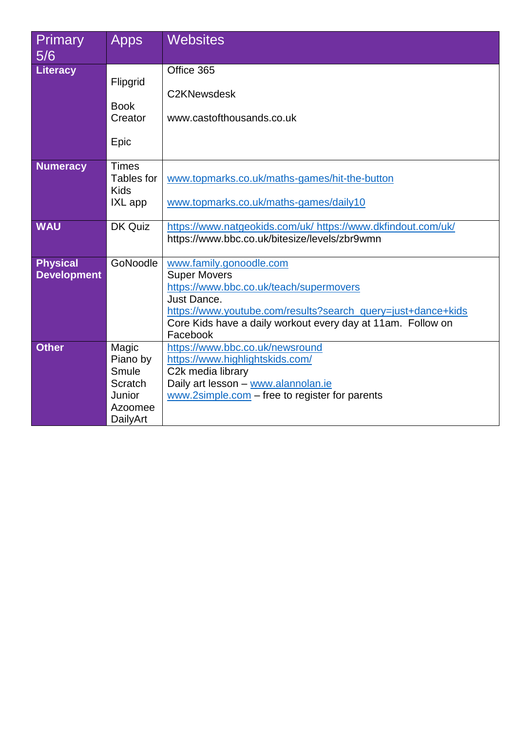| Apps         | <b>Websites</b>                                                                                                                                                        |
|--------------|------------------------------------------------------------------------------------------------------------------------------------------------------------------------|
|              |                                                                                                                                                                        |
|              | Office 365                                                                                                                                                             |
|              |                                                                                                                                                                        |
|              | C2KNewsdesk                                                                                                                                                            |
|              | www.castofthousands.co.uk                                                                                                                                              |
|              |                                                                                                                                                                        |
| Epic         |                                                                                                                                                                        |
|              |                                                                                                                                                                        |
| <b>Times</b> |                                                                                                                                                                        |
|              | www.topmarks.co.uk/maths-games/hit-the-button                                                                                                                          |
|              |                                                                                                                                                                        |
|              | www.topmarks.co.uk/maths-games/daily10                                                                                                                                 |
|              | https://www.natgeokids.com/uk/ https://www.dkfindout.com/uk/                                                                                                           |
|              | https://www.bbc.co.uk/bitesize/levels/zbr9wmn                                                                                                                          |
|              |                                                                                                                                                                        |
| GoNoodle     | www.family.gonoodle.com                                                                                                                                                |
|              | <b>Super Movers</b>                                                                                                                                                    |
|              | https://www.bbc.co.uk/teach/supermovers                                                                                                                                |
|              | Just Dance.                                                                                                                                                            |
|              | https://www.youtube.com/results?search_query=just+dance+kids                                                                                                           |
|              | Core Kids have a daily workout every day at 11am. Follow on                                                                                                            |
|              | Facebook                                                                                                                                                               |
|              | https://www.bbc.co.uk/newsround                                                                                                                                        |
|              | https://www.highlightskids.com/<br>C <sub>2</sub> k media library                                                                                                      |
|              | Daily art lesson - www.alannolan.ie                                                                                                                                    |
|              | $www.2simple.com - free to register for parents$                                                                                                                       |
|              |                                                                                                                                                                        |
|              |                                                                                                                                                                        |
|              | Flipgrid<br><b>Book</b><br>Creator<br><b>Tables for</b><br><b>Kids</b><br>IXL app<br>DK Quiz<br>Magic<br>Piano by<br>Smule<br>Scratch<br>Junior<br>Azoomee<br>DailyArt |